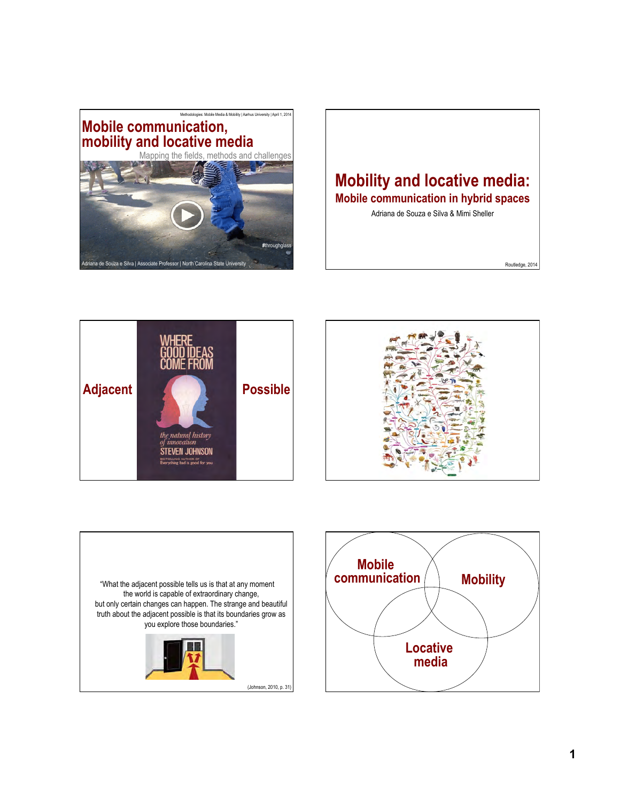

## **Mobility and locative media: Mobile communication in hybrid spaces**

Adriana de Souza e Silva & Mimi Sheller

Routledge, 2014







(Johnson, 2010, p. 31)

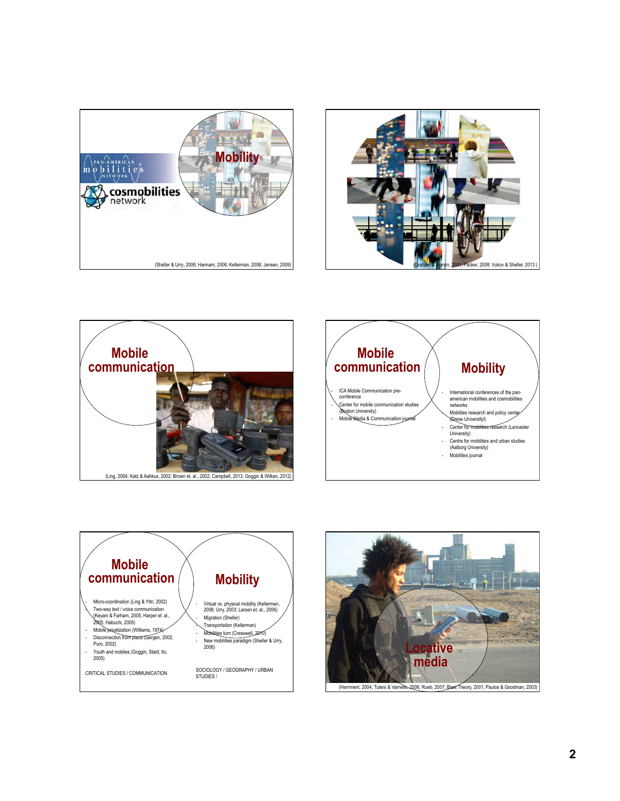









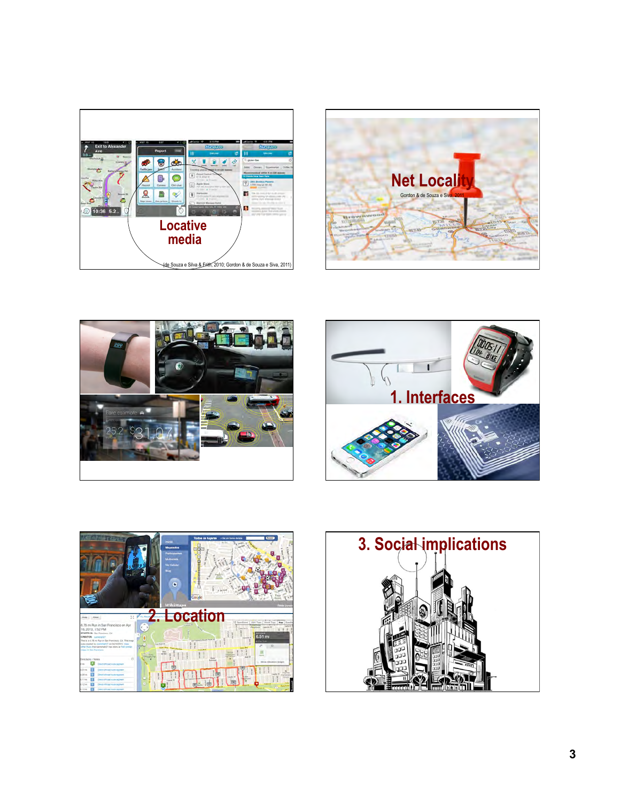









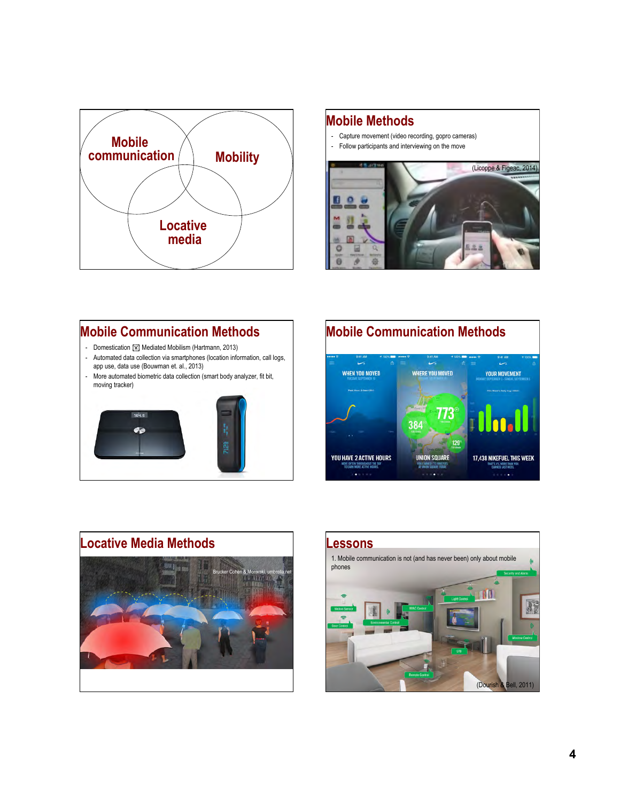

### **Mobile Methods**

- Capture movement (video recording, gopro cameras)
- Follow participants and interviewing on the move



# **Mobile Communication Methods**

- Domestication [w] Mediated Mobilism (Hartmann, 2013)
- Automated data collection via smartphones (location information, call logs, app use, data use (Bouwman et. al., 2013)
- More automated biometric data collection (smart body analyzer, fit bit, moving tracker)







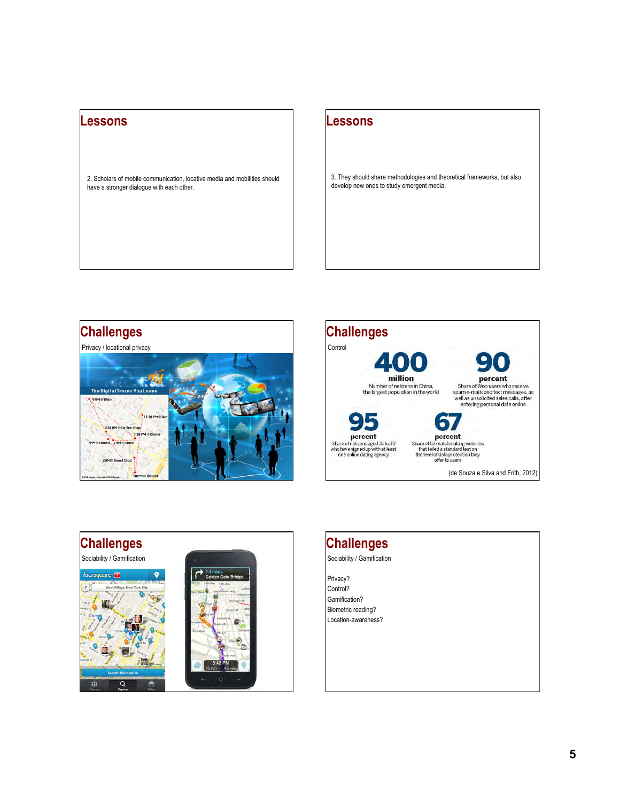#### **Lessons**

2. Scholars of mobile communication, locative media and mobilities should have a stronger dialogue with each other.

#### **Lessons**

3. They should share methodologies and theoretical frameworks, but also develop new ones to study emergent media.